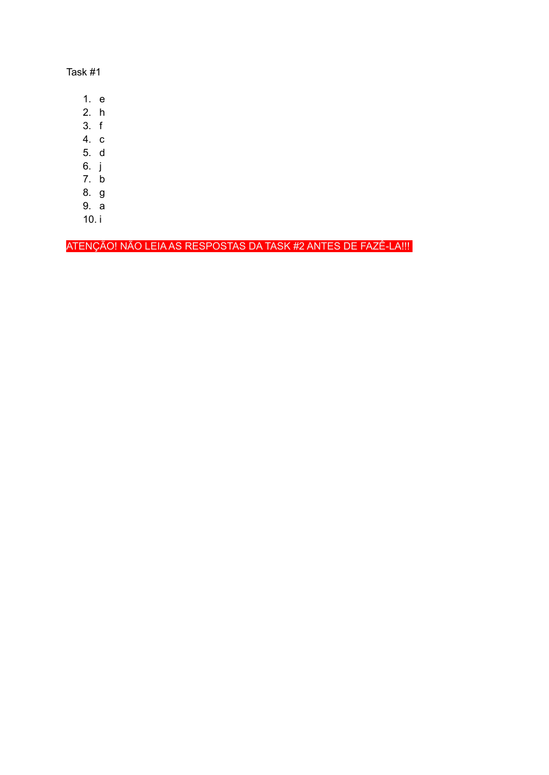Task #1

- 1. e
- $2. h$
- $3. f$
- 4.  $c$
- 5. d
- 6. j
- 7. b
- 8. g
- 9. a
- $10. i$

ATENÇÃO! NÃO LEIA AS RESPOSTAS DA TASK #2 ANTES DE FAZÊ-LA!!!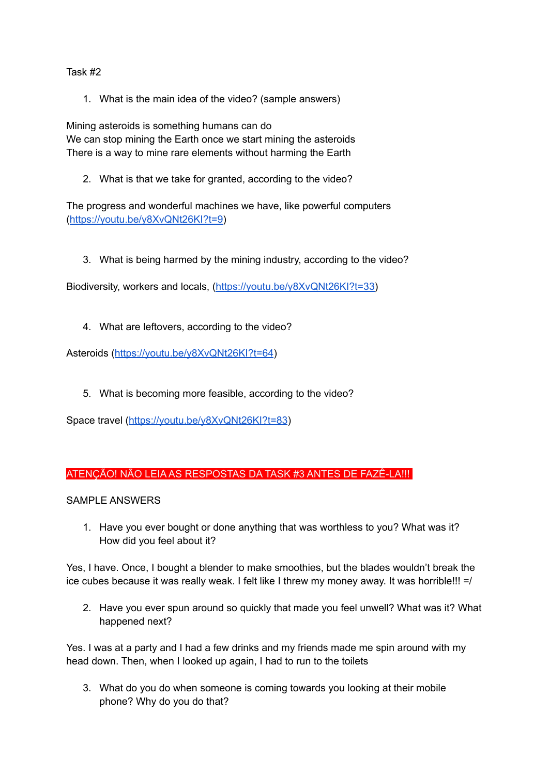Task #2

1. What is the main idea of the video? (sample answers)

Mining asteroids is something humans can do We can stop mining the Earth once we start mining the asteroids There is a way to mine rare elements without harming the Earth

2. What is that we take for granted, according to the video?

The progress and wonderful machines we have, like powerful computers (<https://youtu.be/y8XvQNt26KI?t=9>)

3. What is being harmed by the mining industry, according to the video?

Biodiversity, workers and locals, [\(https://youtu.be/y8XvQNt26KI?t=33\)](https://youtu.be/y8XvQNt26KI?t=33)

4. What are leftovers, according to the video?

Asteroids (<https://youtu.be/y8XvQNt26KI?t=64>)

5. What is becoming more feasible, according to the video?

Space travel (<https://youtu.be/y8XvQNt26KI?t=83>)

## ATENÇÃO! NÃO LEIA AS RESPOSTAS DA TASK #3 ANTES DE FAZÊ-LA!!!

SAMPLE ANSWERS

1. Have you ever bought or done anything that was worthless to you? What was it? How did you feel about it?

Yes, I have. Once, I bought a blender to make smoothies, but the blades wouldn't break the ice cubes because it was really weak. I felt like I threw my money away. It was horrible!!! =/

2. Have you ever spun around so quickly that made you feel unwell? What was it? What happened next?

Yes. I was at a party and I had a few drinks and my friends made me spin around with my head down. Then, when I looked up again, I had to run to the toilets

3. What do you do when someone is coming towards you looking at their mobile phone? Why do you do that?